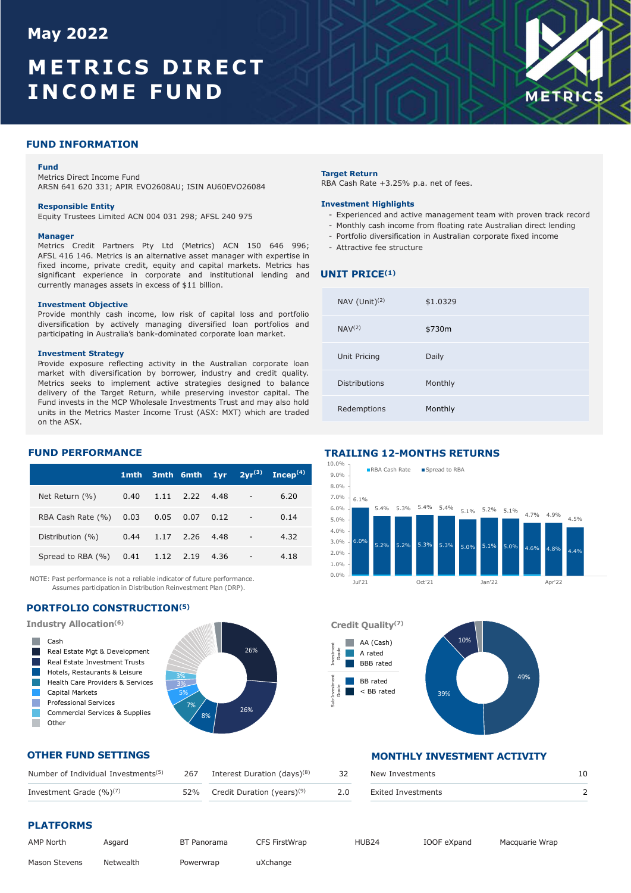# May 2022<br> **METRICS DIRECT<br>
INCOME FUND**<br>
FUND INFORMATION<br>
FUND INFORMATION<br>
Metrics Direct Income Fund<br>
Metrics Direct Income Fund<br>
ARSN 641 620 331; APIR EVO2608AU; ISIN AU60EVO26084<br>
RBA Cash Rate +3.25% p.a **THETRICS DIRECT**<br> **NCOME FUND**<br> **NO INFORMATION**<br>
Metrics Direct Income Fund<br>
Metrics Direct Income Fund<br>
Metrics Direct Income Fund<br>
Metrics Credit Partners Pty Ltd (Metrics) ACN 150 646 996;<br>
Responsible Entity<br>
Menager May 2022<br>METRICS DIRECT<br>INCOME FUND<br>METRICS May 2022<br>METRICS DIRECT<br>INCOME FUND<br>FUND INFORMATION



### **Fund Fund Fund Fund**

### Manager

**ISP 2022<br>
METRICS DIRECT<br>
METRICS NORTHERIT AUGUST 2013 APRIL 2014 AND METRICS<br>
Fund<br>
ARSN 641 620 331; APR EVOZ008AU, ISIN AU60EVOZ004<br>
ARSN Gain Rate Hadden<br>
Responsible Entity<br>
ARSN 645 m. And The Company of the Case o AFTRICS DIRECT (ARTIFICATION ACTES)**<br>
AFTRICS DIRECT METRICS<br>
ARENE DIRECT METRICS<br>
ARENE SIZE AND METRICS CONTREVOZ608AU; ISIN AUGOVOZ6041<br>
ARENE SIZE AND METRICS CONTREVOZ608AU; ISIN AUGOVOZ6041<br>
ARENE DIRECT CONTREVOZ **FIRICS DIRECT**<br> **NOOME FUND**<br> **NOOME FUND**<br> **NOOME FUND**<br> **NOOME FUND**<br> **NOOME FUND**<br> **NOOME FUND**<br> **NOOME FUND**<br> **NOOME FUND**<br> **Responsible Entity**<br> **Responsible Entity**<br> **Responsible Entity**<br> **Responsible Entity**<br> **Res Significant EXPLE CONTRACT CONTRACT CONTRACT CONTRACT CONTRACT CONTRACT CONTRACT CONTRACT CONTRACT CONTRACT CONTRACT CONTRACT CONTRACT CONTRACT CONTRACT CONTRACT CONTRACT CONTRACT CONTRACT CONTRACT CONTRACT CONTRACT CONTR** COMEFUND<br>
NOOMEFUND<br>
NOOMERO DIRECT<br>
NOOMERO NE HUND<br>
NO REGISTER COMERCIAL SERVICES<br>
ARSN 641 620 331; APIR EVOZ608AU; ISIN AU60EVOZ6084<br>
ARSN 641 620 331; APIR EVOZ608AU; ISIN AU60EVOZ6084<br>
ARSN 641 620 331; APIR EVOZ608 **INCOMEFUND**<br>
INDINFORMATION<br>
INDINFORMATION<br>
Fund<br>
ARSN 641 620 331; APIR EVOZ608AU; ISIN AU60EVOZ6084<br>
NEW COMEFUND<br>
ARSN 641 620 331; APIR EVOZ608AU; ISIN AU60EVOZ6084<br>
REAGASI Rate +3.25% p.a. n<br>
REAGASI 416 146. Metri

### FUND PERFORMANCE

|                                       |  |  |                                 | $1$ mth 3mth 6mth $1$ yr $2$ yr <sup>(3)</sup> Incep <sup>(4)</sup> |
|---------------------------------------|--|--|---------------------------------|---------------------------------------------------------------------|
| Net Return (%) 0.40 1.11 2.22 4.48 -  |  |  |                                 | 6.20                                                                |
| RBA Cash Rate (%) 0.03 0.05 0.07 0.12 |  |  | <b>Contract Advised Service</b> | 0.14                                                                |
| Distribution (%) 0.44 1.17 2.26 4.48  |  |  | <b>Contract Contract</b>        | 4.32                                                                |
| Spread to RBA (%) 0.41 1.12 2.19 4.36 |  |  | $\overline{\phantom{a}}$        | 4.18                                                                |

NOTE: Past performance is not a reliable indicator of future performance. Assumes participation in Distribution Reinvestment Plan (DRP).

# PORTFOLIO CONSTRUCTION(5)



# OTHER FUND SETTINGS

| Number of Individual Investments <sup>(5)</sup> | 267 | Interest Duration (days) <sup>(8)</sup>    | 32  | New Investments    |  |
|-------------------------------------------------|-----|--------------------------------------------|-----|--------------------|--|
| Investment Grade $(\%)^{(7)}$                   |     | 52% Credit Duration (years) <sup>(9)</sup> | 2.0 | Exited Investments |  |

# PLATFORMS

| AMP North            | Asgard    | BT Panorama | <b>CFS FirstWrap</b> | HUB <sub>24</sub> | IOOF eXpand |
|----------------------|-----------|-------------|----------------------|-------------------|-------------|
| <b>Mason Stevens</b> | Netwealth | Powerwrap   | uXchange             |                   |             |

- Equity Trustees Limited ACN 004 031 298; AFSL 240 975 FX and Scriptional Active management team with proven track record<br>Figuity Trustees Limited ACN 004 031 298; AFSL 240 975 FX and Active members of an Income from floati
	-
	-
	-

# UNIT PRICE<sup>(1)</sup>

| lay 2022                                                                                                                                                                                                                                                                                                                                                                                                                                           |      |      |           |      |             |                        |                      |                                                                                                                                                                                                                                                                                                   |                          |                   |      |           |                |  |
|----------------------------------------------------------------------------------------------------------------------------------------------------------------------------------------------------------------------------------------------------------------------------------------------------------------------------------------------------------------------------------------------------------------------------------------------------|------|------|-----------|------|-------------|------------------------|----------------------|---------------------------------------------------------------------------------------------------------------------------------------------------------------------------------------------------------------------------------------------------------------------------------------------------|--------------------------|-------------------|------|-----------|----------------|--|
| <b>IETRICS DIRECT</b><br><b>NCOME FUND</b>                                                                                                                                                                                                                                                                                                                                                                                                         |      |      |           |      |             |                        |                      |                                                                                                                                                                                                                                                                                                   |                          |                   |      |           | <b>METRICS</b> |  |
| <b>IND INFORMATION</b>                                                                                                                                                                                                                                                                                                                                                                                                                             |      |      |           |      |             |                        |                      |                                                                                                                                                                                                                                                                                                   |                          |                   |      |           |                |  |
| Fund<br>Metrics Direct Income Fund<br>ARSN 641 620 331; APIR EVO2608AU; ISIN AU60EVO26084                                                                                                                                                                                                                                                                                                                                                          |      |      |           |      |             |                        | <b>Target Return</b> | RBA Cash Rate +3.25% p.a. net of fees.                                                                                                                                                                                                                                                            |                          |                   |      |           |                |  |
| <b>Responsible Entity</b><br>Equity Trustees Limited ACN 004 031 298; AFSL 240 975<br><b>Manager</b><br>Metrics Credit Partners Pty Ltd (Metrics) ACN 150 646 996;<br>AFSL 416 146. Metrics is an alternative asset manager with expertise in<br>fixed income, private credit, equity and capital markets. Metrics has<br>significant experience in corporate and institutional lending and<br>currently manages assets in excess of \$11 billion. |      |      |           |      |             |                        |                      | <b>Investment Highlights</b><br>- Experienced and active management team with proven track record<br>- Monthly cash income from floating rate Australian direct lending<br>- Portfolio diversification in Australian corporate fixed income<br>- Attractive fee structure<br><b>UNIT PRICE(1)</b> |                          |                   |      |           |                |  |
| <b>Investment Objective</b><br>Provide monthly cash income, low risk of capital loss and portfolio                                                                                                                                                                                                                                                                                                                                                 |      |      |           |      |             |                        |                      | NAV $(Unit)^{(2)}$                                                                                                                                                                                                                                                                                | \$1.0329                 |                   |      |           |                |  |
| diversification by actively managing diversified loan portfolios and<br>participating in Australia's bank-dominated corporate loan market.                                                                                                                                                                                                                                                                                                         |      |      |           |      |             |                        | NAV <sup>(2)</sup>   |                                                                                                                                                                                                                                                                                                   | \$730m                   |                   |      |           |                |  |
| <b>Investment Strategy</b><br>Provide exposure reflecting activity in the Australian corporate loan                                                                                                                                                                                                                                                                                                                                                |      |      |           |      |             |                        |                      | Unit Pricing                                                                                                                                                                                                                                                                                      | Daily                    |                   |      |           |                |  |
| market with diversification by borrower, industry and credit quality.<br>Metrics seeks to implement active strategies designed to balance<br>delivery of the Target Return, while preserving investor capital. The                                                                                                                                                                                                                                 |      |      |           |      |             |                        | Distributions        |                                                                                                                                                                                                                                                                                                   | Monthly                  |                   |      |           |                |  |
| Fund invests in the MCP Wholesale Investments Trust and may also hold<br>units in the Metrics Master Income Trust (ASX: MXT) which are traded<br>on the ASX.                                                                                                                                                                                                                                                                                       |      |      |           |      |             |                        |                      | Redemptions                                                                                                                                                                                                                                                                                       | Monthly                  |                   |      |           |                |  |
| <b>JND PERFORMANCE</b>                                                                                                                                                                                                                                                                                                                                                                                                                             |      |      |           |      |             |                        |                      | <b>TRAILING 12-MONTHS RETURNS</b>                                                                                                                                                                                                                                                                 |                          |                   |      |           |                |  |
|                                                                                                                                                                                                                                                                                                                                                                                                                                                    | 1mth |      | 3mth 6mth | 1yr  | $2yr^{(3)}$ | $\mathbf{Incep}^{(4)}$ | 10.0%<br>$9.0\%$     | RBA Cash Rate Spread to RBA                                                                                                                                                                                                                                                                       |                          |                   |      |           |                |  |
| Net Return (%)                                                                                                                                                                                                                                                                                                                                                                                                                                     | 0.40 | 1.11 | 2.22      | 4.48 |             | 6.20                   | 8.0%<br>7.0%         | 6.1%                                                                                                                                                                                                                                                                                              |                          |                   |      |           |                |  |
| RBA Cash Rate (%)                                                                                                                                                                                                                                                                                                                                                                                                                                  | 0.03 | 0.05 | 0.07      | 0.12 |             | 0.14                   | 6.0%<br>5.0%         |                                                                                                                                                                                                                                                                                                   | 5.4% 5.3% 5.4% 5.4%      | $5.1\%$ 5.2% 5.1% |      | 4.7% 4.9% | 4.5%           |  |
| Distribution (%)                                                                                                                                                                                                                                                                                                                                                                                                                                   | 0.44 | 1.17 | 2.26      | 4.48 |             | 4.32                   | 4.0%<br>3.0%         |                                                                                                                                                                                                                                                                                                   | 5.2% 5.2% 5.3% 5.3% 5.0% | 5.1%              | 5.0% | 4.6%      | 4.8%           |  |
| Spread to RBA (%)                                                                                                                                                                                                                                                                                                                                                                                                                                  | 0.41 | 1.12 | 2.19      | 4.36 |             | 4.18                   | 2.0%<br>1.0%         |                                                                                                                                                                                                                                                                                                   |                          |                   |      |           |                |  |
| ITE: Dast performance is not a mliable indicator of future performance                                                                                                                                                                                                                                                                                                                                                                             |      |      |           |      |             |                        | 0.0%                 |                                                                                                                                                                                                                                                                                                   |                          |                   |      |           |                |  |

# TRAILING 12-MONTHS RETURNS





# MONTHLY INVESTMENT ACTIVITY

| ition (days) <sup>(8)</sup> | 32 | New Investments    |  |
|-----------------------------|----|--------------------|--|
| on (years) <sup>(9)</sup>   |    | Exited Investments |  |